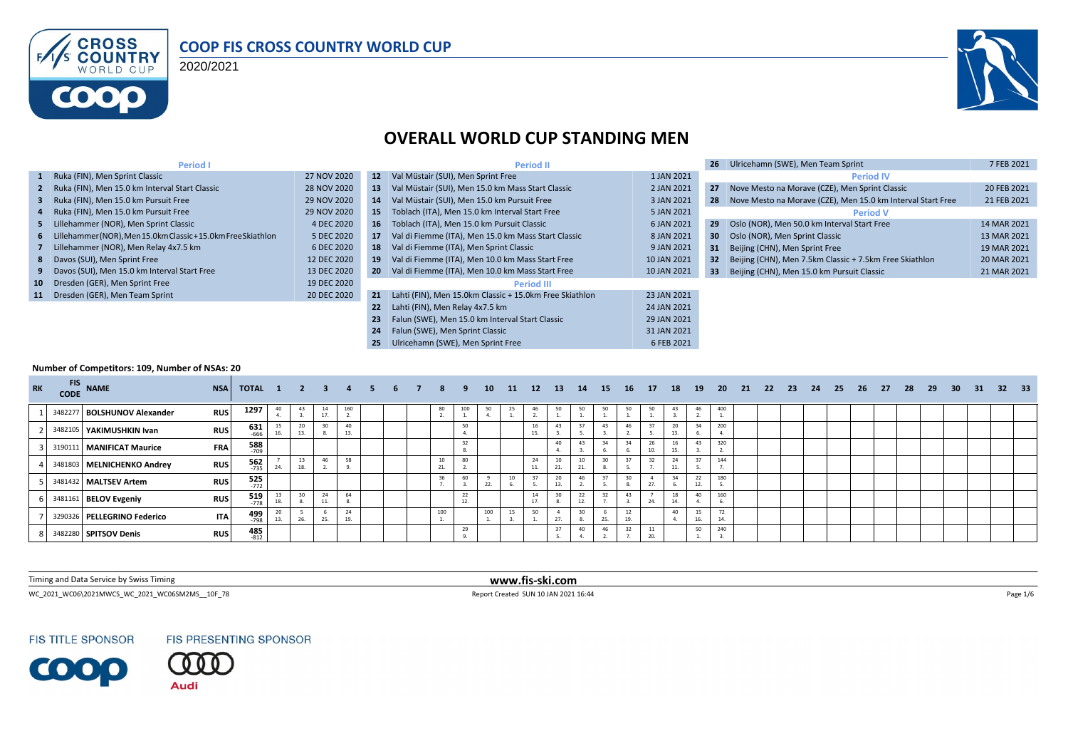

#### **COOP FIS CROSS COUNTRY WORLD CUP**

2020/2021



#### **OVERALL WORLD CUP STANDING MEN**

| <b>Period I</b>                                                 |             |                 | <b>Period II</b>                                        |             | 26              | Ulricehamn (SWE), Men Team Sprint                           | 7 FEB 2021  |
|-----------------------------------------------------------------|-------------|-----------------|---------------------------------------------------------|-------------|-----------------|-------------------------------------------------------------|-------------|
| 1 Ruka (FIN), Men Sprint Classic                                | 27 NOV 2020 | 12 <sup>2</sup> | Val Müstair (SUI), Men Sprint Free                      | 1 JAN 2021  |                 | <b>Period IV</b>                                            |             |
| 2 Ruka (FIN), Men 15.0 km Interval Start Classic                | 28 NOV 2020 | 13              | Val Müstair (SUI), Men 15.0 km Mass Start Classic       | 2 JAN 2021  | 27              | Nove Mesto na Morave (CZE), Men Sprint Classic              | 20 FEB 2021 |
| 3 Ruka (FIN), Men 15.0 km Pursuit Free                          | 29 NOV 2020 | 14              | Val Müstair (SUI), Men 15.0 km Pursuit Free             | 3 JAN 2021  | 28              | Nove Mesto na Morave (CZE), Men 15.0 km Interval Start Free | 21 FEB 2021 |
| 4 Ruka (FIN), Men 15.0 km Pursuit Free                          | 29 NOV 2020 | 15              | Toblach (ITA), Men 15.0 km Interval Start Free          | 5 JAN 2021  |                 | <b>Period V</b>                                             |             |
| 5 Lillehammer (NOR), Men Sprint Classic                         | 4 DEC 2020  | 16              | Toblach (ITA). Men 15.0 km Pursuit Classic              | 6 JAN 2021  | 29              | Oslo (NOR), Men 50.0 km Interval Start Free                 | 14 MAR 2021 |
| 6 Lillehammer (NOR), Men 15.0km Classic + 15.0km Free Skiathlon | 5 DEC 2020  | 17              | Val di Fiemme (ITA), Men 15.0 km Mass Start Classic     | 8 JAN 2021  | 30              | Oslo (NOR), Men Sprint Classic                              | 13 MAR 2021 |
| 7 Lillehammer (NOR), Men Relay 4x7.5 km                         | 6 DEC 2020  | 18              | Val di Fiemme (ITA), Men Sprint Classic                 | 9 JAN 2021  | 31              | Beijing (CHN), Men Sprint Free                              | 19 MAR 2021 |
| 8 Davos (SUI), Men Sprint Free                                  | 12 DEC 2020 | 19              | Val di Fiemme (ITA), Men 10.0 km Mass Start Free        | 10 JAN 2021 | 32 <sub>1</sub> | Beijing (CHN), Men 7.5km Classic + 7.5km Free Skiathlon     | 20 MAR 2021 |
| 9 Davos (SUI), Men 15.0 km Interval Start Free                  | 13 DEC 2020 | -20             | Val di Fiemme (ITA), Men 10.0 km Mass Start Free        | 10 JAN 2021 | 33              | Beijing (CHN), Men 15.0 km Pursuit Classic                  | 21 MAR 2021 |
| 10 Dresden (GER), Men Sprint Free                               | 19 DEC 2020 |                 | <b>Period III</b>                                       |             |                 |                                                             |             |
| 11 Dresden (GER), Men Team Sprint                               | 20 DEC 2020 | 21              | Lahti (FIN), Men 15.0km Classic + 15.0km Free Skiathlon | 23 JAN 2021 |                 |                                                             |             |
|                                                                 |             | 22              | Lahti (FIN), Men Relay 4x7.5 km                         | 24 JAN 2021 |                 |                                                             |             |
|                                                                 |             | 23              | Falun (SWE), Men 15.0 km Interval Start Classic         | 29 JAN 2021 |                 |                                                             |             |
|                                                                 |             | 24              | Falun (SWE), Men Sprint Classic                         | 31 JAN 2021 |                 |                                                             |             |
|                                                                 |             | 25              | Ulricehamn (SWE), Men Sprint Free                       | 6 FEB 2021  |                 |                                                             |             |

#### **Number of Competitors: 109, Number of NSAs: 20**

| <b>RK</b> | <b>FIS</b><br><b>CODE</b> | <b>NAME</b>                 | <b>NSA</b> | TOTAL 1 2            |           |           | -3.       | 4   | 5. | 6 | 8         | -9  | 10  | 11 | 12 <sup>7</sup> | <b>13</b>          | - 14      | 15  | - 16      | 17  | 18        | <b>19</b> | -20 | - 21 | - 22 | - 23 | 24 | 25 | -26 | 27 | 28 | - 29 | 30 | 31 | $\sqrt{32}$ | 33 <sup>°</sup> |
|-----------|---------------------------|-----------------------------|------------|----------------------|-----------|-----------|-----------|-----|----|---|-----------|-----|-----|----|-----------------|--------------------|-----------|-----|-----------|-----|-----------|-----------|-----|------|------|------|----|----|-----|----|----|------|----|----|-------------|-----------------|
|           |                           | 3482277 BOLSHUNOV Alexander | <b>RUS</b> | 1297                 | 40        | 43        | 14<br>17. | 160 |    |   | 80        | 100 | 50  | 25 | 46              | 50                 | 50        | 50  | 50        | 50  | 43        | 46        | 400 |      |      |      |    |    |     |    |    |      |    |    |             |                 |
|           |                           | 3482105 YAKIMUSHKIN Ivan    | <b>RUS</b> | $631$ <sub>666</sub> | 15<br>16. | 20<br>13. | 30        | 40  |    |   |           | 50  |     |    | 16<br>15.       |                    | 37        | 43  | 46        |     | 20<br>13  |           | 200 |      |      |      |    |    |     |    |    |      |    |    |             |                 |
|           |                           | 3190111 MANIFICAT Maurice   | <b>FRA</b> | <b>588</b><br>709    |           |           |           |     |    |   |           | 32  |     |    |                 | 40                 | 43        | 34  | 34        | 10. | 16        | 43        | 320 |      |      |      |    |    |     |    |    |      |    |    |             |                 |
|           |                           | 3481803 MELNICHENKO Andrey  | <b>RUS</b> | $\frac{562}{735}$    | 24.       | 13<br>18. | 46        | 58  |    |   | 10<br>21. | 80  |     |    | 11.             | 10<br>$\mathbf{A}$ | 10<br>21. | 30  | 37        | 32  | 24<br>11  | 27        | 144 |      |      |      |    |    |     |    |    |      |    |    |             |                 |
|           |                           | 3481432 MALTSEV Artem       | <b>RUS</b> | $525$<br>$772$       |           |           |           |     |    |   | 36        |     | 22. |    |                 | 20                 | 46        | 27  |           | 27  |           | 22        | 180 |      |      |      |    |    |     |    |    |      |    |    |             |                 |
|           |                           | 3481161 BELOV Evgeniy       | <b>RUS</b> | 519<br>$-778$        | 18.       | 30        | 24<br>11. | 64  |    |   |           | 22  |     |    | 14<br>17.       | 30                 | 22<br>12. | 32  | 43        | 24. | 18<br>14. | 40        | 160 |      |      |      |    |    |     |    |    |      |    |    |             |                 |
|           | 3290326                   | PELLEGRINO Federico         | <b>ITA</b> | 499<br>$-798$        | 13.       |           | 25.       | 24  |    |   | 100       |     | 100 | 15 | 50              | 27                 | 30        | 25. | 12<br>19. |     | 40        | 15<br>16. | 14  |      |      |      |    |    |     |    |    |      |    |    |             |                 |
|           |                           | 3482280 SPITSOV Denis       | <b>RUS</b> | 485<br>$-812$        |           |           |           |     |    |   |           | 29  |     |    |                 | 27                 | 40        | 46  | 32        | 20. |           | 50        | 240 |      |      |      |    |    |     |    |    |      |    |    |             |                 |

Timing and Data Service by Swiss Timing **www.fis-ski.com**

WC\_2021\_WC06\2021MWCS\_WC\_2021\_WC06SM2MS\_\_10F\_78 Report Created SUN 10 JAN 2021 16:44 Page 1/6

**FIS TITLE SPONSOR** 



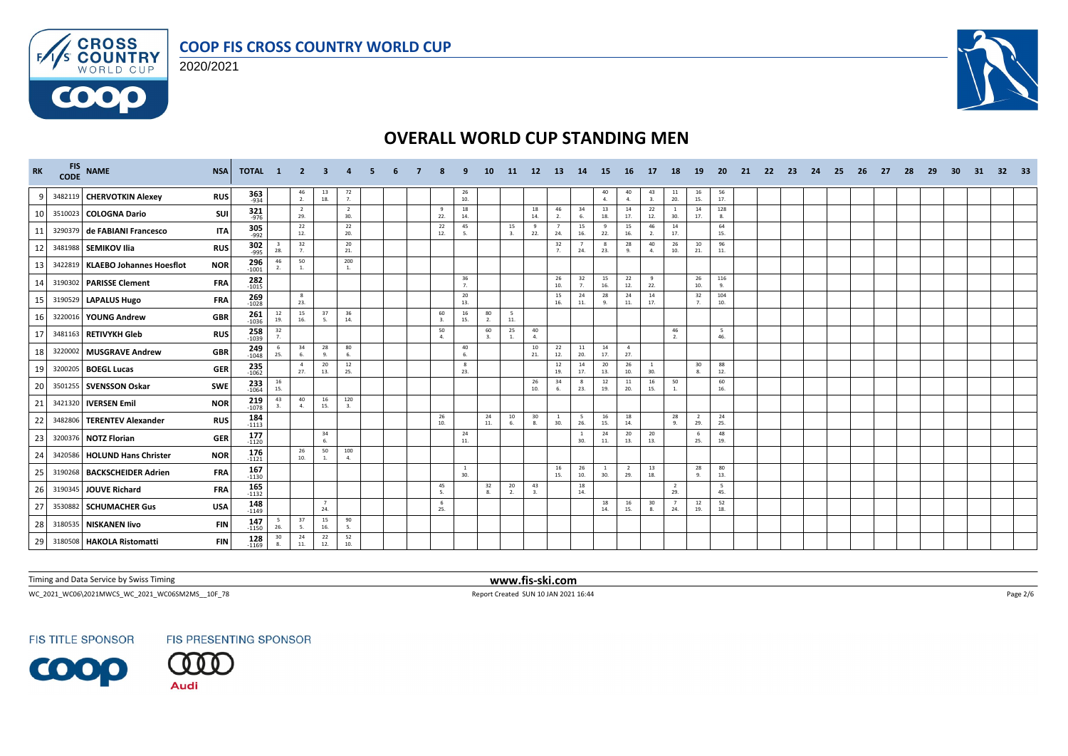

#### **COOP FIS CROSS COUNTRY WORLD CUP**





#### **OVERALL WORLD CUP STANDING MEN**

| <b>RK</b> | FIS NAME                         | <b>NSA</b> | TOTAL 1                          |                                          | -2                    |           |                       |  |            |                      | 10        | 11       | 12 <sup>2</sup>    | -13                  | <b>14</b>             | 15                    | -16                   | 17                    | -18                   | 19                    | -20        | -21 | 22 | -23- | -24 | -25 | -26 | -27 | -28 | 29 | -30 | -31 | 32 <sub>2</sub> | - 33 |
|-----------|----------------------------------|------------|----------------------------------|------------------------------------------|-----------------------|-----------|-----------------------|--|------------|----------------------|-----------|----------|--------------------|----------------------|-----------------------|-----------------------|-----------------------|-----------------------|-----------------------|-----------------------|------------|-----|----|------|-----|-----|-----|-----|-----|----|-----|-----|-----------------|------|
| q         | 3482119 CHERVOTKIN Alexey        | <b>RUS</b> | $363$ <sub>-934</sub>            |                                          | $\frac{46}{2}$        | 13<br>18. | 72<br>7.              |  |            | 26<br>10.            |           |          |                    |                      |                       | 40<br>4.              | 40<br>4.              | 43<br>3.              | $\frac{11}{20}$       | 16<br>15.             | 56<br>17.  |     |    |      |     |     |     |     |     |    |     |     |                 |      |
| 10        | 3510023 COLOGNA Dario            | SUI        | 321<br>$-976$                    |                                          | $\overline{2}$<br>29. |           | $\overline{2}$<br>30. |  | - 9<br>22. | 18<br>14.            |           |          | 18<br>14.          | 46<br>2.             | 34<br>6.              | 13<br>18.             | 14<br>17.             | 22<br>12.             | <sup>1</sup><br>30.   | 14<br>17.             | 128<br>8.  |     |    |      |     |     |     |     |     |    |     |     |                 |      |
| 11        | 3290379 de FABIANI Francesco     | <b>ITA</b> | 305<br>$-992$                    |                                          | 22<br>12.             |           | 22<br>20.             |  | 22<br>12.  | 45<br>-5.            |           | 15<br>3. | 9<br>22.           | 24.                  | 15<br>16.             | 9<br>22.              | 15<br>16.             | 46<br>2.              | 14<br>17.             |                       | 64<br>15.  |     |    |      |     |     |     |     |     |    |     |     |                 |      |
| 12        | 3481988 SEMIKOV Ilia             | <b>RUS</b> | 302<br>$-995$                    | $\overline{\mathbf{3}}$<br>28.           | 32<br>7.              |           | 20<br>21.             |  |            |                      |           |          |                    | 32<br>$\overline{7}$ | $\overline{7}$<br>24. | -8<br>23.             | 28<br>$\mathbf{q}$    | 40<br>4.              | 26<br>10.             | 10<br>21.             | 96<br>11.  |     |    |      |     |     |     |     |     |    |     |     |                 |      |
| 13        | 3422819 KLAEBO Johannes Hoesflot | <b>NOR</b> | $296 \atop 1001$                 | 46<br>$\overline{2}$                     | 50                    |           | 200                   |  |            |                      |           |          |                    |                      |                       |                       |                       |                       |                       |                       |            |     |    |      |     |     |     |     |     |    |     |     |                 |      |
| 14        | 3190302 PARISSE Clement          | FRA        | $282 - 1015$                     |                                          |                       |           |                       |  |            | 36<br>7 <sub>1</sub> |           |          |                    | 26<br>10.            | 32<br>7.              | 15<br>16.             | 22<br>12.             | 9<br>22.              |                       | 26<br>10.             | 116<br>9.  |     |    |      |     |     |     |     |     |    |     |     |                 |      |
| 15        | 3190529 LAPALUS Hugo             | FRA        | 269<br>$-1028$                   |                                          | 8<br>23.              |           |                       |  |            | 20<br>13.            |           |          |                    | 15<br>16.            | 24<br>11.             | 28<br>9.              | 24<br>11.             | 14<br>17.             |                       | 32<br>7 <sub>1</sub>  | 104<br>10. |     |    |      |     |     |     |     |     |    |     |     |                 |      |
| 16        | 3220016 YOUNG Andrew             | <b>GBR</b> | $261$<br>$-1036$                 | $\begin{array}{c} 12 \\ 19. \end{array}$ | 15<br>16.             | 37<br>5.  | 36<br>14.             |  | 60<br>3.   | 16<br>15.            | 80<br>2.  | 5<br>11. |                    |                      |                       |                       |                       |                       |                       |                       |            |     |    |      |     |     |     |     |     |    |     |     |                 |      |
| 17        | 3481163 RETIVYKH Gleb            | <b>RUS</b> | 258<br>$-1039$                   | $\frac{32}{7}$                           |                       |           |                       |  | 50<br>4.   |                      | 60<br>3.  | 25<br>1. | 40<br>$\mathbf{A}$ |                      |                       |                       |                       |                       | 46<br>2.              |                       | 5<br>46.   |     |    |      |     |     |     |     |     |    |     |     |                 |      |
| 18        | 3220002 MUSGRAVE Andrew          | <b>GBR</b> | $249$<br>$1048$                  | 25.                                      | 34<br>6.              | 28<br>9.  | 80<br>6.              |  |            | 40<br>6.             |           |          | 10<br>21.          | 22<br>12.            | 11<br>20.             | 14<br>17.             | $\overline{4}$<br>27. |                       |                       |                       |            |     |    |      |     |     |     |     |     |    |     |     |                 |      |
| 19        | 3200205 BOEGL Lucas              | <b>GER</b> | 235<br>$-1062$                   |                                          | $\overline{4}$<br>27. | 20<br>13. | 12<br>25.             |  |            | 8<br>23.             |           |          |                    | 12<br>19.            | 14<br>17.             | 20<br>13.             | 26<br>10.             | $\overline{1}$<br>30. |                       | 30<br>8.              | 88<br>12.  |     |    |      |     |     |     |     |     |    |     |     |                 |      |
| 20        | 3501255 SVENSSON Oskar           | <b>SWE</b> | 233<br>$-1064$                   | $\begin{array}{c} 16 \\ 15. \end{array}$ |                       |           |                       |  |            |                      |           |          | 26<br>10.          | 34                   | 23.                   | 12<br>19.             | 11<br>20.             | 16<br>15.             | 50<br>1.              |                       | 60<br>16.  |     |    |      |     |     |     |     |     |    |     |     |                 |      |
| 21        | 3421320 IVERSEN Emil             | <b>NOR</b> | $\overline{219}$ <sub>1078</sub> | 43<br>3.                                 | 40<br>$\mathbf{A}$    | 16<br>15. | 120<br>3.             |  |            |                      |           |          |                    |                      |                       |                       |                       |                       |                       |                       |            |     |    |      |     |     |     |     |     |    |     |     |                 |      |
| 22        | 3482806   TERENTEV Alexander     | <b>RUS</b> | $184 - 1113$                     |                                          |                       |           |                       |  | 26<br>10.  |                      | 24<br>11. | 10<br>6. | 30<br>8.           | $\mathbf{1}$<br>30.  | - 5<br>26.            | 16<br>15.             | 18<br>14.             |                       | 28<br>$\alpha$        | $\overline{2}$<br>29. | 24<br>25.  |     |    |      |     |     |     |     |     |    |     |     |                 |      |
| 23        | 3200376 NOTZ Florian             | GER        | 177<br>$-1120$                   |                                          |                       | 34<br>6.  |                       |  |            | 24<br>11.            |           |          |                    |                      | <sup>1</sup><br>30.   | 24<br>11.             | 20<br>13.             | 20<br>13.             |                       | 6<br>25.              | 48<br>19.  |     |    |      |     |     |     |     |     |    |     |     |                 |      |
| 24        | 3420586 HOLUND Hans Christer     | <b>NOR</b> | 176<br>$-1121$                   |                                          | 26<br>10.             | 50<br>1.  | 100<br>$\mathbf{A}$   |  |            |                      |           |          |                    |                      |                       |                       |                       |                       |                       |                       |            |     |    |      |     |     |     |     |     |    |     |     |                 |      |
| 25        | 3190268 BACKSCHEIDER Adrien      | <b>FRA</b> | 167<br>$-1130$                   |                                          |                       |           |                       |  |            | $\mathbf{1}$<br>30.  |           |          |                    | 16<br>15.            | 26<br>10.             | $\overline{1}$<br>30. | 2<br>29.              | 13<br>18.             |                       | 28<br>9.              | 80<br>13.  |     |    |      |     |     |     |     |     |    |     |     |                 |      |
| 26        | 3190345 JOUVE Richard            | <b>FRA</b> | 165<br>$-1132$                   |                                          |                       |           |                       |  | 45<br>5.   |                      | 32<br>8.  | 20<br>2. | 43<br>$\mathbf{3}$ |                      | 18<br>14.             |                       |                       |                       | $\overline{2}$<br>29. |                       | -5<br>45.  |     |    |      |     |     |     |     |     |    |     |     |                 |      |
| 27        | 3530882 SCHUMACHER Gus           | <b>USA</b> | 148<br>$-1149$                   |                                          |                       | 7<br>24.  |                       |  | 6<br>25.   |                      |           |          |                    |                      |                       | 18<br>14.             | 16<br>15.             | 30<br>8.              | $\overline{7}$<br>24. | 12<br>19.             | 52<br>18.  |     |    |      |     |     |     |     |     |    |     |     |                 |      |
| 28        | 3180535 NISKANEN livo            | <b>FIN</b> | 147<br>$-1150$                   | 5<br>26.                                 | 37<br>5.              | 15<br>16. | 90<br>5.              |  |            |                      |           |          |                    |                      |                       |                       |                       |                       |                       |                       |            |     |    |      |     |     |     |     |     |    |     |     |                 |      |
| 29        | 3180508 HAKOLA Ristomatti        | <b>FIN</b> | $128$<br>-1169                   | 30<br>8.                                 | 24<br>11.             | 22<br>12. | 52<br>10.             |  |            |                      |           |          |                    |                      |                       |                       |                       |                       |                       |                       |            |     |    |      |     |     |     |     |     |    |     |     |                 |      |

Timing and Data Service by Swiss Timing **www.fis-ski.com**

WC\_2021\_WC06\2021MWCS\_WC\_2021\_WC06SM2MS\_\_10F\_78 Report Created SUN 10 JAN 2021 16:44 Page 2/6

**FIS TITLE SPONSOR** 



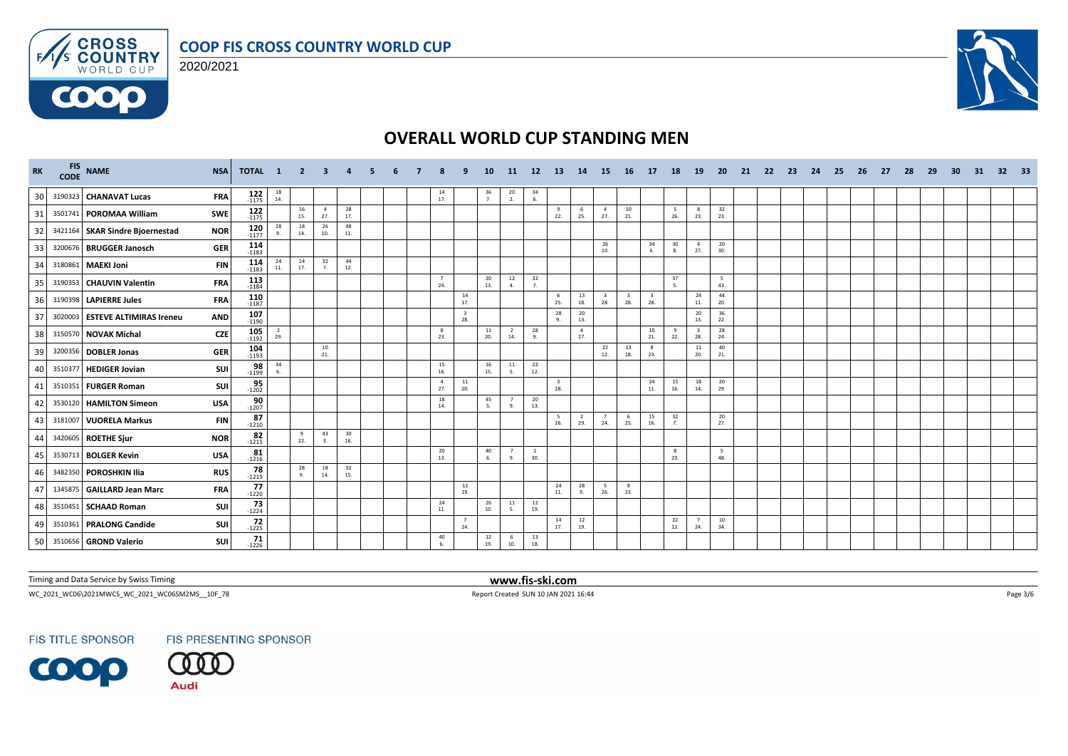





| <b>RK</b> |         | FIS NAME<br>CODE NAME           | <b>NSA</b> | TOTAL 1            |                                          | $\overline{2}$ |                       |           |  |                       |                                | 10                                       | -11                   | 12 <sup>7</sup>                          | -13       | <b>14</b>             | <b>15</b>             | <b>16</b>                      | <b>17</b> | -18       | 19                             | -20        | -21 | -22 | - 23 | -24 | -25 | -26 | -27 | -28 | 29 | 30 | 31 | 32 <sub>2</sub> | - 33 |
|-----------|---------|---------------------------------|------------|--------------------|------------------------------------------|----------------|-----------------------|-----------|--|-----------------------|--------------------------------|------------------------------------------|-----------------------|------------------------------------------|-----------|-----------------------|-----------------------|--------------------------------|-----------|-----------|--------------------------------|------------|-----|-----|------|-----|-----|-----|-----|-----|----|----|----|-----------------|------|
| 30        |         | 3190323 CHANAVAT Lucas          | <b>FRA</b> | $122$<br>-1175     | $\begin{array}{c} 18 \\ 14. \end{array}$ |                |                       |           |  | 14<br>17.             |                                | $\frac{36}{7}$                           | $\frac{20}{2}$        | 34<br>6.                                 |           |                       |                       |                                |           |           |                                |            |     |     |      |     |     |     |     |     |    |    |    |                 |      |
| 31        |         | 3501741 POROMAA William         | SWE        | $122$<br>-1175     |                                          | 16<br>15.      | $\overline{a}$<br>27. | 28<br>17. |  |                       |                                |                                          |                       |                                          | 22.       | - 6<br>25.            | $\overline{4}$<br>27. | 10<br>21.                      |           | 5<br>26.  | $_{\rm 8}$<br>23.              | 32<br>23.  |     |     |      |     |     |     |     |     |    |    |    |                 |      |
| 32        |         | 3421164 SKAR Sindre Bioernestad | <b>NOR</b> | $120$<br>$-1177$   | 28<br>9.                                 | 18<br>14.      | 26<br>10.             | 48<br>11. |  |                       |                                |                                          |                       |                                          |           |                       |                       |                                |           |           |                                |            |     |     |      |     |     |     |     |     |    |    |    |                 |      |
| 33        |         | 3200676 BRUGGER Janosch         | GER        | 114<br>$-1183$     |                                          |                |                       |           |  |                       |                                |                                          |                       |                                          |           |                       | 26<br>10.             |                                | 34<br>6.  | 30<br>8.  | $\overline{4}$<br>27.          | 20<br>30.  |     |     |      |     |     |     |     |     |    |    |    |                 |      |
| 34        |         | 3180861 MAEKI Joni              | <b>FIN</b> | 114<br>$-1183$     | $\begin{array}{c} 24 \\ 11. \end{array}$ | 14<br>17.      | 32<br>7.              | 44<br>12. |  |                       |                                |                                          |                       |                                          |           |                       |                       |                                |           |           |                                |            |     |     |      |     |     |     |     |     |    |    |    |                 |      |
| 35        |         | 3190353 CHAUVIN Valentin        | FRA        | $113$<br>-1184     |                                          |                |                       |           |  | $\overline{7}$<br>24. |                                | $20\degree$<br>13.                       | 12<br>4.              | 32<br>7.                                 |           |                       |                       |                                |           | 37<br>-5. |                                | - 5<br>43. |     |     |      |     |     |     |     |     |    |    |    |                 |      |
| 36        |         | 3190398 LAPIERRE Jules          | FRA        | $110$<br>-1187     |                                          |                |                       |           |  |                       | 14<br>17.                      |                                          |                       |                                          | -6<br>25. | 13<br>18.             | -3<br>28.             | $\overline{\mathbf{3}}$<br>28. | 28.       |           | 24<br>11.                      | 44<br>20.  |     |     |      |     |     |     |     |     |    |    |    |                 |      |
| 37        |         | 3020003 ESTEVE ALTIMIRAS Ireneu | <b>AND</b> | $107 - 1190$       |                                          |                |                       |           |  |                       | $\overline{\mathbf{3}}$<br>28. |                                          |                       |                                          | 28<br>9.  | 20<br>13.             |                       |                                |           |           | 20<br>13.                      | 36<br>22.  |     |     |      |     |     |     |     |     |    |    |    |                 |      |
| 38        |         | 3150570 NOVAK Michal            | <b>CZE</b> | $105 - 1192$       | $\frac{2}{29}$                           |                |                       |           |  | 8<br>23.              |                                | 11<br>20.                                | $\overline{2}$<br>14. | 28<br>Q <sub>1</sub>                     |           | $\overline{4}$<br>27. |                       |                                | 10<br>21. | 9<br>22.  | $\overline{\mathbf{3}}$<br>28. | 28<br>24.  |     |     |      |     |     |     |     |     |    |    |    |                 |      |
| 39        |         | 3200356 DOBLER Jonas            | GER        | $104 - 1193$       |                                          |                | 10<br>21.             |           |  |                       |                                |                                          |                       |                                          |           |                       | 22<br>12.             | 13<br>18.                      | -8<br>23. |           | 11<br>20.                      | 40<br>21.  |     |     |      |     |     |     |     |     |    |    |    |                 |      |
| 40        | 3510377 | <b>HEDIGER Jovian</b>           | SUI        | $\frac{98}{-1199}$ | $\begin{array}{c} 34 \\ 6. \end{array}$  |                |                       |           |  | 15<br>16.             |                                | 16<br>15.                                | 11<br>5.              | 22<br>12.                                |           |                       |                       |                                |           |           |                                |            |     |     |      |     |     |     |     |     |    |    |    |                 |      |
| 41        |         | 3510351 FURGER Roman            | SUI        | $95 - 1202$        |                                          |                |                       |           |  | $\overline{4}$<br>27. | 11<br>20.                      |                                          |                       |                                          | 28.       |                       |                       |                                | 24<br>11. | 15<br>16. | 18<br>14.                      | 20<br>29.  |     |     |      |     |     |     |     |     |    |    |    |                 |      |
| 42        | 3530120 | <b>HAMILTON Simeon</b>          | <b>USA</b> | $\frac{90}{-1207}$ |                                          |                |                       |           |  | 18<br>14.             |                                | 45<br>-5.                                | $\overline{7}$<br>9.  | 20<br>13.                                |           |                       |                       |                                |           |           |                                |            |     |     |      |     |     |     |     |     |    |    |    |                 |      |
| 43        |         | 3181007 VUORELA Markus          | <b>FIN</b> | 87<br>$-1210$      |                                          |                |                       |           |  |                       |                                |                                          |                       |                                          | -5<br>26. | $\overline{2}$<br>29. | 24.                   | 6<br>25.                       | 15<br>16. | 32<br>7.  |                                | 20<br>27.  |     |     |      |     |     |     |     |     |    |    |    |                 |      |
| 44        |         | 3420605 ROETHE Sjur             | <b>NOR</b> | $82 - 1215$        |                                          | 9<br>22.       | 43<br>3.              | 30<br>16. |  |                       |                                |                                          |                       |                                          |           |                       |                       |                                |           |           |                                |            |     |     |      |     |     |     |     |     |    |    |    |                 |      |
| 45        |         | 3530713 BOLGER Kevin            | <b>USA</b> | $81 - 1216$        |                                          |                |                       |           |  | 20<br>13.             |                                | 40<br>6.                                 | $\overline{7}$<br>9.  | $\overline{1}$<br>30.                    |           |                       |                       |                                |           | 8<br>23.  |                                | 5<br>48.   |     |     |      |     |     |     |     |     |    |    |    |                 |      |
| 46        | 3482350 | POROSHKIN Ilia                  | <b>RUS</b> | 78<br>$-1219$      |                                          | 28<br>9.       | 18<br>14.             | 32<br>15. |  |                       |                                |                                          |                       |                                          |           |                       |                       |                                |           |           |                                |            |     |     |      |     |     |     |     |     |    |    |    |                 |      |
| 47        |         | 1345875 GAILLARD Jean Marc      | <b>FRA</b> | 77<br>$-1220$      |                                          |                |                       |           |  |                       | 12<br>19.                      |                                          |                       |                                          | 24<br>11. | 28<br>9.              | 5<br>26.              | 8<br>23.                       |           |           |                                |            |     |     |      |     |     |     |     |     |    |    |    |                 |      |
| 48        |         | 3510451 SCHAAD Roman            | SUI        | 73<br>$-1224$      |                                          |                |                       |           |  | 24<br>11.             |                                | $\begin{array}{c} 26 \\ 10. \end{array}$ | 11<br>-5.             | $\begin{array}{c} 12 \\ 19. \end{array}$ |           |                       |                       |                                |           |           |                                |            |     |     |      |     |     |     |     |     |    |    |    |                 |      |
| 49        |         | 3510361 PRALONG Candide         | SUI        | 72<br>$-1225$      |                                          |                |                       |           |  |                       | $\overline{7}$<br>24.          |                                          |                       |                                          | 14<br>17. | $12\,$<br>19.         |                       |                                |           | 22<br>12. | $\overline{7}$<br>24.          | 10<br>34.  |     |     |      |     |     |     |     |     |    |    |    |                 |      |
| 50        |         | 3510656 GROND Valerio           | SUI        | $71 - 1226$        |                                          |                |                       |           |  | 40<br>6               |                                | 12<br>19.                                | 6<br>10.              | 13<br>18.                                |           |                       |                       |                                |           |           |                                |            |     |     |      |     |     |     |     |     |    |    |    |                 |      |

Timing and Data Service by Swiss Timing **www.fis-ski.com**

WC\_2021\_WC06\2021MWCS\_WC\_2021\_WC06SM2MS\_\_10F\_78 Report Created SUN 10 JAN 2021 16:44 Page 3/6

**FIS TITLE SPONSOR** 





**Audi**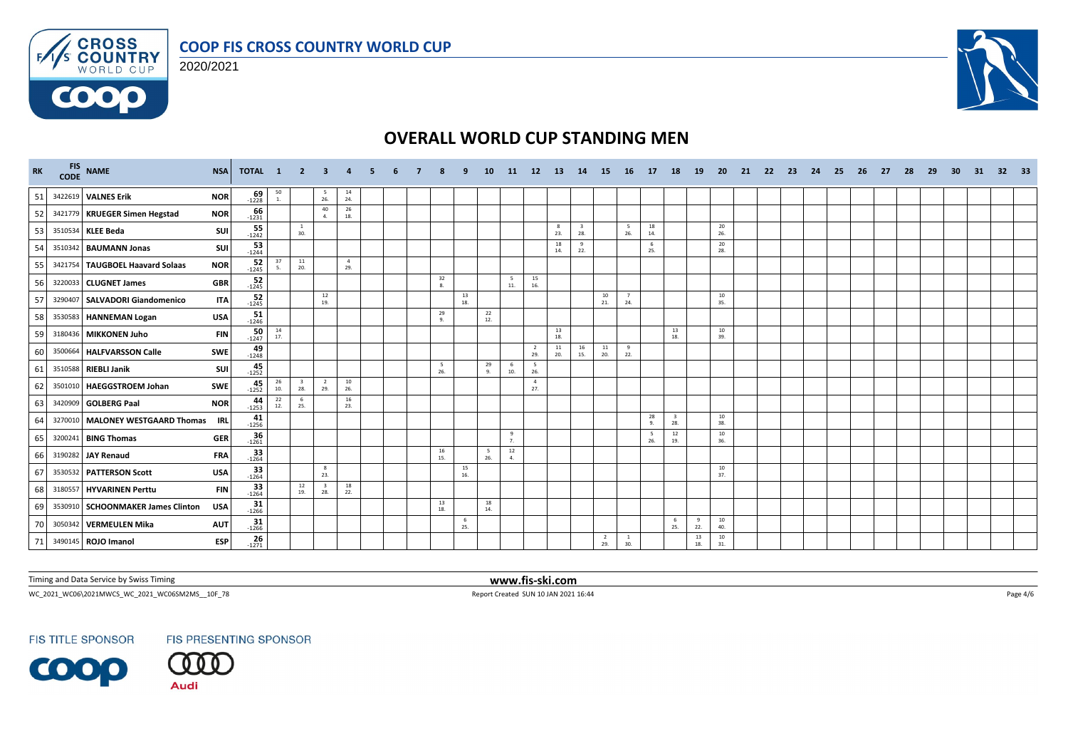





| <b>RK</b> | FIS NAME<br>CODE NAME                           | <b>NSA</b><br>TOTAL 1                |                                          | $\overline{2}$                 | 3                              | $\overline{\mathbf{4}}$ |  |           | ٩         | <b>10</b> | <b>11</b>                      | 12                    | - 13      | 14        | <b>15</b>             | <b>16</b>             | 17         | <b>18</b>                      | <b>19</b> | <b>20</b> | 21 | -22 | - 23 | - 24 | -25 | - 26 | 27 | -28 | 29 | 30 | 31 | 32 <sub>2</sub> | - 33 |
|-----------|-------------------------------------------------|--------------------------------------|------------------------------------------|--------------------------------|--------------------------------|-------------------------|--|-----------|-----------|-----------|--------------------------------|-----------------------|-----------|-----------|-----------------------|-----------------------|------------|--------------------------------|-----------|-----------|----|-----|------|------|-----|------|----|-----|----|----|----|-----------------|------|
| 51        | 3422619 VALNES Erik<br><b>NOR</b>               | $69 - 1228$                          | $50\atop1.$                              |                                | - 5<br>26.                     | 14<br>24.               |  |           |           |           |                                |                       |           |           |                       |                       |            |                                |           |           |    |     |      |      |     |      |    |     |    |    |    |                 |      |
| 52        | 3421779 KRUEGER Simen Hegstad<br><b>NOR</b>     | $-66$                                |                                          |                                | 40<br>4.                       | 26<br>18.               |  |           |           |           |                                |                       |           |           |                       |                       |            |                                |           |           |    |     |      |      |     |      |    |     |    |    |    |                 |      |
| 53        | 3510534 KLEE Beda                               | 55<br>SUI<br>$-1242$                 |                                          | $\mathbf{1}$<br>30.            |                                |                         |  |           |           |           |                                |                       | 8<br>23.  | 28.       |                       | $\frac{5}{26}$        | 18<br>14.  |                                |           | 20<br>26. |    |     |      |      |     |      |    |     |    |    |    |                 |      |
| 54        | 3510342 BAUMANN Jonas                           | $53 - 1244$<br>SUI                   |                                          |                                |                                |                         |  |           |           |           |                                |                       | 18<br>14. | 9<br>22.  |                       |                       | - 6<br>25. |                                |           | 20<br>28. |    |     |      |      |     |      |    |     |    |    |    |                 |      |
| 55        | 3421754 TAUGBOEL Haavard Solaas<br><b>NOR</b>   | $52 - 1245$                          | 37<br>-5.                                | $11\,$<br>20.                  |                                | $\overline{4}$<br>29.   |  |           |           |           |                                |                       |           |           |                       |                       |            |                                |           |           |    |     |      |      |     |      |    |     |    |    |    |                 |      |
| 56        | 3220033 CLUGNET James                           | $52 - 1245$<br><b>GBR</b>            |                                          |                                |                                |                         |  | 32<br>8.  |           |           | 5<br>$\bf 11.$                 | 15<br>16.             |           |           |                       |                       |            |                                |           |           |    |     |      |      |     |      |    |     |    |    |    |                 |      |
| 57        | 3290407 SALVADORI Giandomenico                  | 52<br><b>ITA</b><br>$-1245$          |                                          |                                | 12<br>19.                      |                         |  |           | 13<br>18. |           |                                |                       |           |           | 10<br>21.             | $\overline{7}$<br>24. |            |                                |           | 10<br>35. |    |     |      |      |     |      |    |     |    |    |    |                 |      |
| 58        | 3530583 HANNEMAN Logan                          | 51<br><b>USA</b><br>$-1246$          |                                          |                                |                                |                         |  | 29<br>9.  |           | 22<br>12. |                                |                       |           |           |                       |                       |            |                                |           |           |    |     |      |      |     |      |    |     |    |    |    |                 |      |
| 59        | 3180436 MIKKONEN Juho                           | $50 - 1247$<br><b>FIN</b>            | 14<br>17.                                |                                |                                |                         |  |           |           |           |                                |                       | 13<br>18. |           |                       |                       |            | 13<br>18.                      |           | 10<br>39. |    |     |      |      |     |      |    |     |    |    |    |                 |      |
| 60        | <b>SWE</b><br>3500664 HALFVARSSON Calle         | $49 - 1248$                          |                                          |                                |                                |                         |  |           |           |           |                                | $\overline{2}$<br>29. | 11<br>20. | 16<br>15. | 11<br>20.             | 9<br>22.              |            |                                |           |           |    |     |      |      |     |      |    |     |    |    |    |                 |      |
| 61        | 3510588 RIEBLI Janik                            | $45 - 1252$<br>SUI                   |                                          |                                |                                |                         |  | 5<br>26.  |           | 29<br>9.  | 6<br>10.                       | 5<br>26.              |           |           |                       |                       |            |                                |           |           |    |     |      |      |     |      |    |     |    |    |    |                 |      |
| 62        | 3501010 HAEGGSTROEM Johan<br><b>SWE</b>         | $45 - 1252$                          | $\begin{array}{c} 26 \\ 10. \end{array}$ | $\overline{\mathbf{3}}$<br>28. | $\overline{2}$<br>29.          | 10<br>26.               |  |           |           |           |                                | $\overline{4}$<br>27. |           |           |                       |                       |            |                                |           |           |    |     |      |      |     |      |    |     |    |    |    |                 |      |
| 63        | <b>NOR</b><br>3420909 GOLBERG Paal              | 44<br>$-1253$                        | 22<br>12.                                | 6<br>25.                       |                                | 16<br>23.               |  |           |           |           |                                |                       |           |           |                       |                       |            |                                |           |           |    |     |      |      |     |      |    |     |    |    |    |                 |      |
| 64        | 3270010 MALONEY WESTGAARD Thomas                | 41<br><b>IRL</b><br>$-1256$          |                                          |                                |                                |                         |  |           |           |           |                                |                       |           |           |                       |                       | 28<br>-9.  | $\overline{\mathbf{3}}$<br>28. |           | 10<br>38. |    |     |      |      |     |      |    |     |    |    |    |                 |      |
| 65        | 3200241 BING Thomas                             | $-36$ <sup>-1261</sup><br><b>GER</b> |                                          |                                |                                |                         |  |           |           |           | $\mathbf{q}$<br>$\overline{7}$ |                       |           |           |                       |                       | 26.        | 12<br>19.                      |           | 10<br>36. |    |     |      |      |     |      |    |     |    |    |    |                 |      |
| 66        | 3190282 JAY Renaud                              | 33<br><b>FRA</b><br>$-1264$          |                                          |                                |                                |                         |  | 16<br>15. |           | 5<br>26.  | 12<br>4.                       |                       |           |           |                       |                       |            |                                |           |           |    |     |      |      |     |      |    |     |    |    |    |                 |      |
| 67        | 3530532 PATTERSON Scott<br><b>USA</b>           | 33<br>$-1264$                        |                                          |                                | 8<br>23.                       |                         |  |           | 15<br>16. |           |                                |                       |           |           |                       |                       |            |                                |           | 10<br>37. |    |     |      |      |     |      |    |     |    |    |    |                 |      |
| 68        | 3180557 HYVARINEN Perttu                        | $33$<br>-1264<br><b>FIN</b>          |                                          | 12<br>19.                      | $\overline{\mathbf{3}}$<br>28. | 18<br>22.               |  |           |           |           |                                |                       |           |           |                       |                       |            |                                |           |           |    |     |      |      |     |      |    |     |    |    |    |                 |      |
| 69        | 3530910 SCHOONMAKER James Clinton<br><b>USA</b> | 31<br>$-1266$                        |                                          |                                |                                |                         |  | 13<br>18. |           | 18<br>14. |                                |                       |           |           |                       |                       |            |                                |           |           |    |     |      |      |     |      |    |     |    |    |    |                 |      |
| 70        | 3050342 VERMEULEN Mika                          | $31$<br>-1266<br><b>AUT</b>          |                                          |                                |                                |                         |  |           | 6<br>25.  |           |                                |                       |           |           |                       |                       |            | - 6<br>25.                     | -9<br>22. | 10<br>40. |    |     |      |      |     |      |    |     |    |    |    |                 |      |
| 71        | 3490145 ROJO Imanol                             | 26<br><b>ESP</b><br>$-1271$          |                                          |                                |                                |                         |  |           |           |           |                                |                       |           |           | $\overline{2}$<br>29. | $\mathbf{1}$<br>30.   |            |                                | 13<br>18. | 10<br>31. |    |     |      |      |     |      |    |     |    |    |    |                 |      |

Timing and Data Service by Swiss Timing **www.fis-ski.com**

WC\_2021\_WC06\2021MWCS\_WC\_2021\_WC06SM2MS\_\_10F\_78 Report Created SUN 10 JAN 2021 16:44 Page 4/6

**FIS TITLE SPONSOR** 



FIS PRESENTING SPONSOR

**Audi**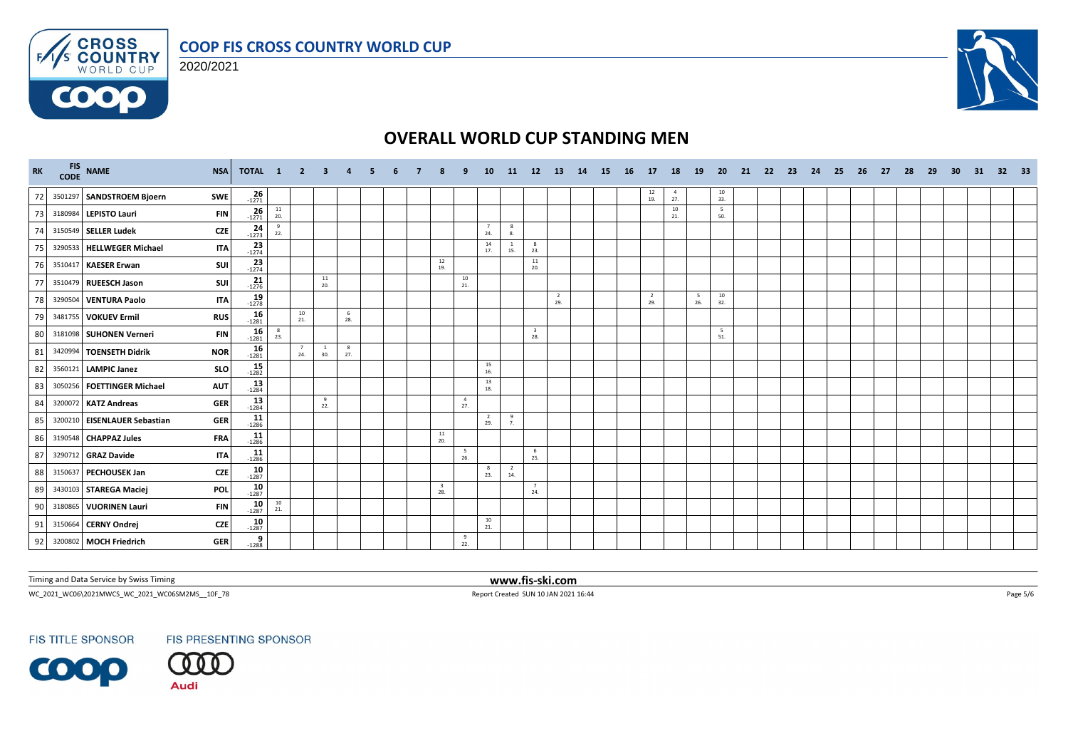





| <b>RK</b> | FIS NAME<br>CODE NAME<br><b>NSA</b>        | TOTAL 1               |                                          | $\overline{2}$        | $\overline{\mathbf{3}}$ | $\overline{a}$ | 5. | 6 |                                | ٠q                    | 10                    |                       | 11 12 13              |                       | 14 | <b>15</b> | <b>16</b> | 17                                       | 18                    | <b>19</b> | -20           | 21 | -22 | - 23 | - 24 | -25 | - 26 | - 27 | -28 | -29 | 30 | 31 | 32 33 |  |
|-----------|--------------------------------------------|-----------------------|------------------------------------------|-----------------------|-------------------------|----------------|----|---|--------------------------------|-----------------------|-----------------------|-----------------------|-----------------------|-----------------------|----|-----------|-----------|------------------------------------------|-----------------------|-----------|---------------|----|-----|------|------|-----|------|------|-----|-----|----|----|-------|--|
| 72        | 3501297 SANDSTROEM Bjoern<br><b>SWE</b>    | $\frac{26}{1271}$     |                                          |                       |                         |                |    |   |                                |                       |                       |                       |                       |                       |    |           |           | $\begin{array}{c} 12 \\ 19. \end{array}$ | $\overline{4}$<br>27. |           | $10\,$<br>33. |    |     |      |      |     |      |      |     |     |    |    |       |  |
| 73        | 3180984 LEPISTO Lauri<br><b>FIN</b>        | $26 - 1271$           | $\begin{array}{c} 11 \\ 20. \end{array}$ |                       |                         |                |    |   |                                |                       |                       |                       |                       |                       |    |           |           |                                          | 10<br>21.             |           | - 5<br>50.    |    |     |      |      |     |      |      |     |     |    |    |       |  |
| 74        | CZE<br>3150549 SELLER Ludek                | $24 - 1273$           | 9<br>22.                                 |                       |                         |                |    |   |                                |                       | $\overline{7}$<br>24. | 8<br>8.               |                       |                       |    |           |           |                                          |                       |           |               |    |     |      |      |     |      |      |     |     |    |    |       |  |
| 75        | 3290533 HELLWEGER Michael<br><b>ITA</b>    | $23 - 1274$           |                                          |                       |                         |                |    |   |                                |                       | 14<br>17.             | 15.                   | 8<br>23.              |                       |    |           |           |                                          |                       |           |               |    |     |      |      |     |      |      |     |     |    |    |       |  |
| 76        | SUI<br>3510417 KAESER Erwan                | $23 - 1274$           |                                          |                       |                         |                |    |   | 12<br>19.                      |                       |                       |                       | 11<br>20.             |                       |    |           |           |                                          |                       |           |               |    |     |      |      |     |      |      |     |     |    |    |       |  |
| 77        | SUI<br>3510479 RUEESCH Jason               | $21 - 1276$           |                                          |                       | 11<br>20.               |                |    |   |                                | 10<br>21.             |                       |                       |                       |                       |    |           |           |                                          |                       |           |               |    |     |      |      |     |      |      |     |     |    |    |       |  |
| 78        | 3290504 VENTURA Paolo<br><b>ITA</b>        | 19<br>$-1278$         |                                          |                       |                         |                |    |   |                                |                       |                       |                       |                       | $\overline{2}$<br>29. |    |           |           | $\overline{2}$<br>29.                    |                       | 5<br>26.  | 10<br>32.     |    |     |      |      |     |      |      |     |     |    |    |       |  |
| 79        | 3481755 VOKUEV Ermil<br><b>RUS</b>         | $16 - 1281$           |                                          | 10<br>21.             |                         | 6<br>28.       |    |   |                                |                       |                       |                       |                       |                       |    |           |           |                                          |                       |           |               |    |     |      |      |     |      |      |     |     |    |    |       |  |
| 80        | 3181098 SUHONEN Verneri<br><b>FIN</b>      | 16<br>$-1281$         | 8<br>23.                                 |                       |                         |                |    |   |                                |                       |                       |                       | 28.                   |                       |    |           |           |                                          |                       |           | 5<br>51.      |    |     |      |      |     |      |      |     |     |    |    |       |  |
| 81        | <b>NOR</b><br>3420994 TOENSETH Didrik      | $16 - 1281$           |                                          | $\overline{7}$<br>24. | $\mathbf{1}$<br>30.     | 8<br>27.       |    |   |                                |                       |                       |                       |                       |                       |    |           |           |                                          |                       |           |               |    |     |      |      |     |      |      |     |     |    |    |       |  |
| 82        | <b>SLO</b><br>3560121 LAMPIC Janez         | $15 - 1282$           |                                          |                       |                         |                |    |   |                                |                       | 15<br>16.             |                       |                       |                       |    |           |           |                                          |                       |           |               |    |     |      |      |     |      |      |     |     |    |    |       |  |
| 83        | <b>AUT</b><br>3050256 FOETTINGER Michael   | $13 - 1284$           |                                          |                       |                         |                |    |   |                                |                       | 13<br>18.             |                       |                       |                       |    |           |           |                                          |                       |           |               |    |     |      |      |     |      |      |     |     |    |    |       |  |
| 84        | 3200072 KATZ Andreas<br><b>GER</b>         | 13<br>$-1284$         |                                          |                       | 9<br>22.                |                |    |   |                                | $\overline{4}$<br>27. |                       |                       |                       |                       |    |           |           |                                          |                       |           |               |    |     |      |      |     |      |      |     |     |    |    |       |  |
| 85        | 3200210 EISENLAUER Sebastian<br><b>GER</b> | $11$<br>-1286         |                                          |                       |                         |                |    |   |                                |                       | $\overline{2}$<br>29. | 9<br>7.               |                       |                       |    |           |           |                                          |                       |           |               |    |     |      |      |     |      |      |     |     |    |    |       |  |
| 86        | <b>FRA</b><br>3190548 CHAPPAZ Jules        | $11$<br>-1286         |                                          |                       |                         |                |    |   | 11<br>20.                      |                       |                       |                       |                       |                       |    |           |           |                                          |                       |           |               |    |     |      |      |     |      |      |     |     |    |    |       |  |
| 87        | 3290712 GRAZ Davide<br><b>ITA</b>          | $11$ <sub>-1286</sub> |                                          |                       |                         |                |    |   |                                | 5<br>26.              |                       |                       | 6<br>25.              |                       |    |           |           |                                          |                       |           |               |    |     |      |      |     |      |      |     |     |    |    |       |  |
| 88        | 3150637 PECHOUSEK Jan<br><b>CZE</b>        | $\frac{10}{-1287}$    |                                          |                       |                         |                |    |   |                                |                       | -8<br>23.             | $\overline{2}$<br>14. |                       |                       |    |           |           |                                          |                       |           |               |    |     |      |      |     |      |      |     |     |    |    |       |  |
| 89        | POL<br>3430103 STAREGA Maciej              | $10 - 1287$           |                                          |                       |                         |                |    |   | $\overline{\mathbf{3}}$<br>28. |                       |                       |                       | $\overline{7}$<br>24. |                       |    |           |           |                                          |                       |           |               |    |     |      |      |     |      |      |     |     |    |    |       |  |
| 90        | 3180865 VUORINEN Lauri<br><b>FIN</b>       | $10 - 1287$           | $\frac{10}{21}$                          |                       |                         |                |    |   |                                |                       |                       |                       |                       |                       |    |           |           |                                          |                       |           |               |    |     |      |      |     |      |      |     |     |    |    |       |  |
| 91        | 3150664 CERNY Ondrej<br><b>CZE</b>         | $10 - 1287$           |                                          |                       |                         |                |    |   |                                |                       | 10<br>21.             |                       |                       |                       |    |           |           |                                          |                       |           |               |    |     |      |      |     |      |      |     |     |    |    |       |  |
| 92        | 3200802 MOCH Friedrich<br><b>GER</b>       | $\frac{9}{-1288}$     |                                          |                       |                         |                |    |   |                                | 9<br>22.              |                       |                       |                       |                       |    |           |           |                                          |                       |           |               |    |     |      |      |     |      |      |     |     |    |    |       |  |

Timing and Data Service by Swiss Timing **www.fis-ski.com**

WC\_2021\_WC06\2021MWCS\_WC\_2021\_WC06SM2MS\_\_10F\_78 Report Created SUN 10 JAN 2021 16:44 Page 5/6

**FIS TITLE SPONSOR**